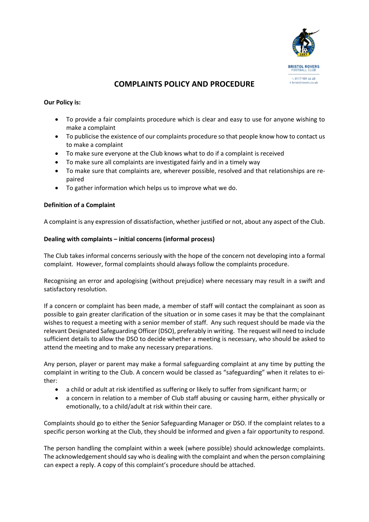

# **COMPLAINTS POLICY AND PROCEDURE**

## **Our Policy is:**

- To provide a fair complaints procedure which is clear and easy to use for anyone wishing to make a complaint
- To publicise the existence of our complaints procedure so that people know how to contact us to make a complaint
- To make sure everyone at the Club knows what to do if a complaint is received
- To make sure all complaints are investigated fairly and in a timely way
- To make sure that complaints are, wherever possible, resolved and that relationships are repaired
- To gather information which helps us to improve what we do.

### **Definition of a Complaint**

A complaint is any expression of dissatisfaction, whether justified or not, about any aspect of the Club.

# **Dealing with complaints – initial concerns (informal process)**

The Club takes informal concerns seriously with the hope of the concern not developing into a formal complaint. However, formal complaints should always follow the complaints procedure.

Recognising an error and apologising (without prejudice) where necessary may result in a swift and satisfactory resolution.

If a concern or complaint has been made, a member of staff will contact the complainant as soon as possible to gain greater clarification of the situation or in some cases it may be that the complainant wishes to request a meeting with a senior member of staff. Any such request should be made via the relevant Designated Safeguarding Officer (DSO), preferably in writing. The request will need to include sufficient details to allow the DSO to decide whether a meeting is necessary, who should be asked to attend the meeting and to make any necessary preparations.

Any person, player or parent may make a formal safeguarding complaint at any time by putting the complaint in writing to the Club. A concern would be classed as "safeguarding" when it relates to either:

- a child or adult at risk identified as suffering or likely to suffer from significant harm; or
- a concern in relation to a member of Club staff abusing or causing harm, either physically or emotionally, to a child/adult at risk within their care.

Complaints should go to either the Senior Safeguarding Manager or DSO. If the complaint relates to a specific person working at the Club, they should be informed and given a fair opportunity to respond.

The person handling the complaint within a week (where possible) should acknowledge complaints. The acknowledgement should say who is dealing with the complaint and when the person complaining can expect a reply. A copy of this complaint's procedure should be attached.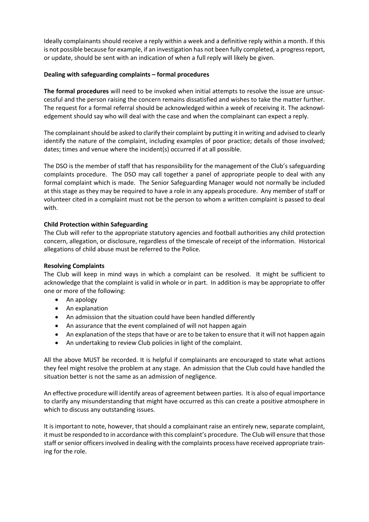Ideally complainants should receive a reply within a week and a definitive reply within a month. If this is not possible because for example, if an investigation has not been fully completed, a progressreport, or update, should be sent with an indication of when a full reply will likely be given.

# **Dealing with safeguarding complaints – formal procedures**

**The formal procedures** will need to be invoked when initial attempts to resolve the issue are unsuccessful and the person raising the concern remains dissatisfied and wishes to take the matter further. The request for a formal referral should be acknowledged within a week of receiving it. The acknowledgement should say who will deal with the case and when the complainant can expect a reply.

The complainant should be asked to clarify their complaint by putting it in writing and advised to clearly identify the nature of the complaint, including examples of poor practice; details of those involved; dates; times and venue where the incident(s) occurred if at all possible.

The DSO is the member of staff that has responsibility for the management of the Club's safeguarding complaints procedure. The DSO may call together a panel of appropriate people to deal with any formal complaint which is made. The Senior Safeguarding Manager would not normally be included at this stage as they may be required to have a role in any appeals procedure. Any member of staff or volunteer cited in a complaint must not be the person to whom a written complaint is passed to deal with.

# **Child Protection within Safeguarding**

The Club will refer to the appropriate statutory agencies and football authorities any child protection concern, allegation, or disclosure, regardless of the timescale of receipt of the information. Historical allegations of child abuse must be referred to the Police.

### **Resolving Complaints**

The Club will keep in mind ways in which a complaint can be resolved. It might be sufficient to acknowledge that the complaint is valid in whole or in part. In addition is may be appropriate to offer one or more of the following:

- An apology
- An explanation
- An admission that the situation could have been handled differently
- An assurance that the event complained of will not happen again
- An explanation of the steps that have or are to be taken to ensure that it will not happen again
- An undertaking to review Club policies in light of the complaint.

All the above MUST be recorded. It is helpful if complainants are encouraged to state what actions they feel might resolve the problem at any stage. An admission that the Club could have handled the situation better is not the same as an admission of negligence.

An effective procedure will identify areas of agreement between parties. It is also of equal importance to clarify any misunderstanding that might have occurred as this can create a positive atmosphere in which to discuss any outstanding issues.

It is important to note, however, that should a complainant raise an entirely new, separate complaint, it must be responded to in accordance with this complaint's procedure. The Club will ensure that those staff or senior officers involved in dealing with the complaints process have received appropriate training for the role.